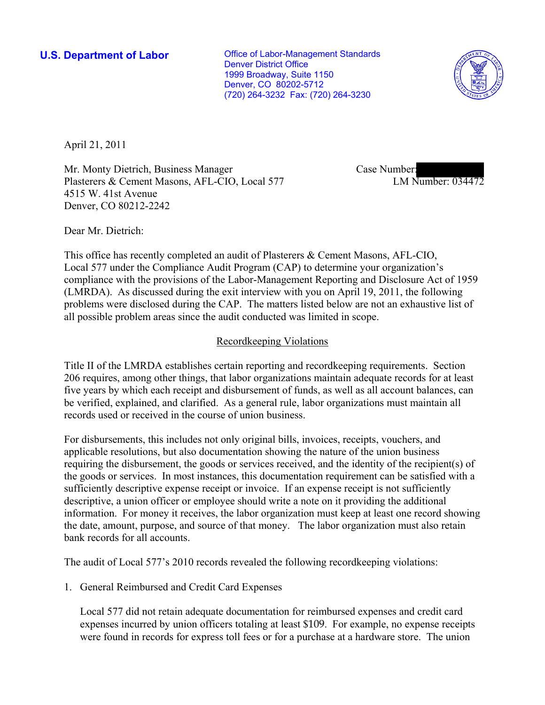**U.S. Department of Labor Conservative Conservative Conservative Conservative Conservative Conservative Conservative Conservative Conservative Conservative Conservative Conservative Conservative Conservative Conservative** Denver District Office 1999 Broadway, Suite 1150 Denver, CO 80202-5712 (720) 264-3232 Fax: (720) 264-3230



April 21, 2011

Mr. Monty Dietrich, Business Manager Plasterers & Cement Masons, AFL-CIO, Local 577 4515 W. 41st Avenue Denver, CO 80212-2242

Case Number: LM Number: 034472

Dear Mr. Dietrich:

This office has recently completed an audit of Plasterers & Cement Masons, AFL-CIO, Local 577 under the Compliance Audit Program (CAP) to determine your organization's compliance with the provisions of the Labor-Management Reporting and Disclosure Act of 1959 (LMRDA). As discussed during the exit interview with you on April 19, 2011, the following problems were disclosed during the CAP. The matters listed below are not an exhaustive list of all possible problem areas since the audit conducted was limited in scope.

# Recordkeeping Violations

Title II of the LMRDA establishes certain reporting and recordkeeping requirements. Section 206 requires, among other things, that labor organizations maintain adequate records for at least five years by which each receipt and disbursement of funds, as well as all account balances, can be verified, explained, and clarified. As a general rule, labor organizations must maintain all records used or received in the course of union business.

For disbursements, this includes not only original bills, invoices, receipts, vouchers, and applicable resolutions, but also documentation showing the nature of the union business requiring the disbursement, the goods or services received, and the identity of the recipient(s) of the goods or services. In most instances, this documentation requirement can be satisfied with a sufficiently descriptive expense receipt or invoice. If an expense receipt is not sufficiently descriptive, a union officer or employee should write a note on it providing the additional information. For money it receives, the labor organization must keep at least one record showing the date, amount, purpose, and source of that money. The labor organization must also retain bank records for all accounts.

The audit of Local 577's 2010 records revealed the following recordkeeping violations:

1. General Reimbursed and Credit Card Expenses

Local 577 did not retain adequate documentation for reimbursed expenses and credit card expenses incurred by union officers totaling at least \$109. For example, no expense receipts were found in records for express toll fees or for a purchase at a hardware store. The union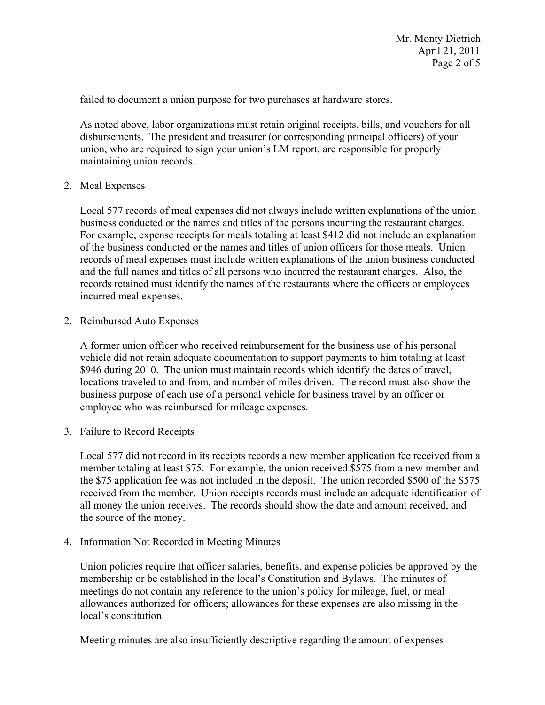failed to document a union purpose for two purchases at hardware stores.

As noted above, labor organizations must retain original receipts, bills, and vouchers for all disbursements. The president and treasurer (or corresponding principal officers) of your union, who are required to sign your union's LM report, are responsible for properly maintaining union records.

### 2. Meal Expenses

Local 577 records of meal expenses did not always include written explanations of the union business conducted or the names and titles of the persons incurring the restaurant charges. For example, expense receipts for meals totaling at least \$412 did not include an explanation of the business conducted or the names and titles of union officers for those meals. Union records of meal expenses must include written explanations of the union business conducted and the full names and titles of all persons who incurred the restaurant charges. Also, the records retained must identify the names of the restaurants where the officers or employees incurred meal expenses.

2. Reimbursed Auto Expenses

A former union officer who received reimbursement for the business use of his personal vehicle did not retain adequate documentation to support payments to him totaling at least \$946 during 2010. The union must maintain records which identify the dates of travel, locations traveled to and from, and number of miles driven. The record must also show the business purpose of each use of a personal vehicle for business travel by an officer or employee who was reimbursed for mileage expenses.

3. Failure to Record Receipts

Local 577 did not record in its receipts records a new member application fee received from a member totaling at least \$75. For example, the union received \$575 from a new member and the \$75 application fee was not included in the deposit. The union recorded \$500 of the \$575 received from the member. Union receipts records must include an adequate identification of all money the union receives. The records should show the date and amount received, and the source of the money.

4. Information Not Recorded in Meeting Minutes

Union policies require that officer salaries, benefits, and expense policies be approved by the membership or be established in the local's Constitution and Bylaws. The minutes of meetings do not contain any reference to the union's policy for mileage, fuel, or meal allowances authorized for officers; allowances for these expenses are also missing in the local's constitution.

Meeting minutes are also insufficiently descriptive regarding the amount of expenses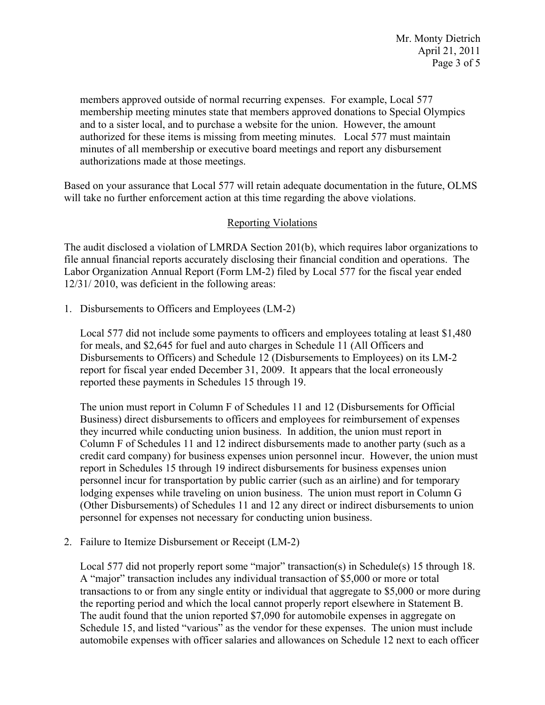members approved outside of normal recurring expenses. For example, Local 577 membership meeting minutes state that members approved donations to Special Olympics and to a sister local, and to purchase a website for the union. However, the amount authorized for these items is missing from meeting minutes. Local 577 must maintain minutes of all membership or executive board meetings and report any disbursement authorizations made at those meetings.

Based on your assurance that Local 577 will retain adequate documentation in the future, OLMS will take no further enforcement action at this time regarding the above violations.

# Reporting Violations

The audit disclosed a violation of LMRDA Section 201(b), which requires labor organizations to file annual financial reports accurately disclosing their financial condition and operations. The Labor Organization Annual Report (Form LM-2) filed by Local 577 for the fiscal year ended 12/31/ 2010, was deficient in the following areas:

1. Disbursements to Officers and Employees (LM-2)

Local 577 did not include some payments to officers and employees totaling at least \$1,480 for meals, and \$2,645 for fuel and auto charges in Schedule 11 (All Officers and Disbursements to Officers) and Schedule 12 (Disbursements to Employees) on its LM-2 report for fiscal year ended December 31, 2009. It appears that the local erroneously reported these payments in Schedules 15 through 19.

The union must report in Column F of Schedules 11 and 12 (Disbursements for Official Business) direct disbursements to officers and employees for reimbursement of expenses they incurred while conducting union business. In addition, the union must report in Column F of Schedules 11 and 12 indirect disbursements made to another party (such as a credit card company) for business expenses union personnel incur. However, the union must report in Schedules 15 through 19 indirect disbursements for business expenses union personnel incur for transportation by public carrier (such as an airline) and for temporary lodging expenses while traveling on union business. The union must report in Column G (Other Disbursements) of Schedules 11 and 12 any direct or indirect disbursements to union personnel for expenses not necessary for conducting union business.

2. Failure to Itemize Disbursement or Receipt (LM-2)

Local 577 did not properly report some "major" transaction(s) in Schedule(s) 15 through 18. A "major" transaction includes any individual transaction of \$5,000 or more or total transactions to or from any single entity or individual that aggregate to \$5,000 or more during the reporting period and which the local cannot properly report elsewhere in Statement B. The audit found that the union reported \$7,090 for automobile expenses in aggregate on Schedule 15, and listed "various" as the vendor for these expenses. The union must include automobile expenses with officer salaries and allowances on Schedule 12 next to each officer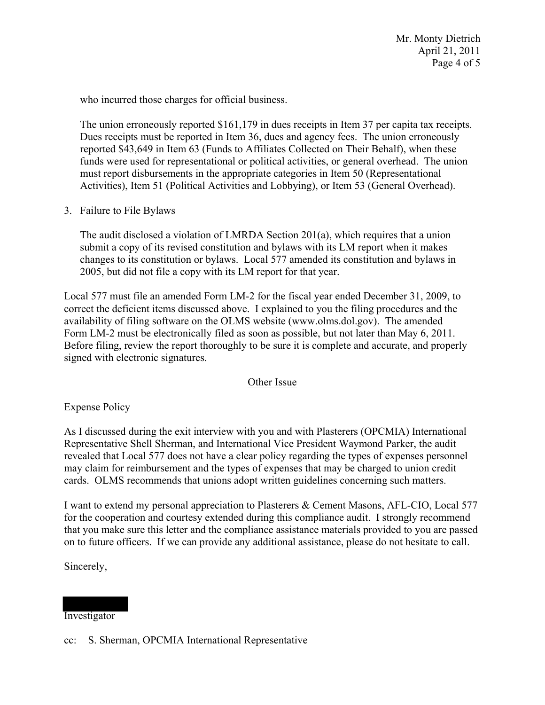Mr. Monty Dietrich April 21, 2011 Page 4 of 5

who incurred those charges for official business.

The union erroneously reported \$161,179 in dues receipts in Item 37 per capita tax receipts. Dues receipts must be reported in Item 36, dues and agency fees. The union erroneously reported \$43,649 in Item 63 (Funds to Affiliates Collected on Their Behalf), when these funds were used for representational or political activities, or general overhead. The union must report disbursements in the appropriate categories in Item 50 (Representational Activities), Item 51 (Political Activities and Lobbying), or Item 53 (General Overhead).

3. Failure to File Bylaws

The audit disclosed a violation of LMRDA Section 201(a), which requires that a union submit a copy of its revised constitution and bylaws with its LM report when it makes changes to its constitution or bylaws. Local 577 amended its constitution and bylaws in 2005, but did not file a copy with its LM report for that year.

Local 577 must file an amended Form LM-2 for the fiscal year ended December 31, 2009, to correct the deficient items discussed above. I explained to you the filing procedures and the availability of filing software on the OLMS website (www.olms.dol.gov). The amended Form LM-2 must be electronically filed as soon as possible, but not later than May 6, 2011. Before filing, review the report thoroughly to be sure it is complete and accurate, and properly signed with electronic signatures.

## Other Issue

Expense Policy

As I discussed during the exit interview with you and with Plasterers (OPCMIA) International Representative Shell Sherman, and International Vice President Waymond Parker, the audit revealed that Local 577 does not have a clear policy regarding the types of expenses personnel may claim for reimbursement and the types of expenses that may be charged to union credit cards. OLMS recommends that unions adopt written guidelines concerning such matters.

I want to extend my personal appreciation to Plasterers & Cement Masons, AFL-CIO, Local 577 for the cooperation and courtesy extended during this compliance audit. I strongly recommend that you make sure this letter and the compliance assistance materials provided to you are passed on to future officers. If we can provide any additional assistance, please do not hesitate to call.

Sincerely,

### Investigator

cc: S. Sherman, OPCMIA International Representative